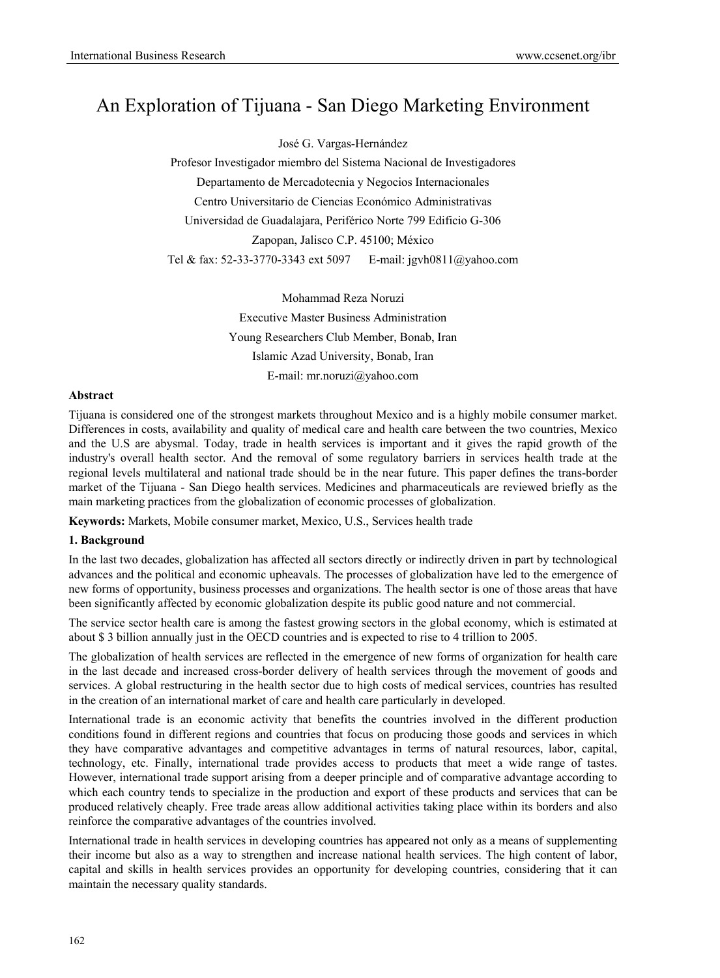# An Exploration of Tijuana - San Diego Marketing Environment

José G. Vargas-Hernández Profesor Investigador miembro del Sistema Nacional de Investigadores

Departamento de Mercadotecnia y Negocios Internacionales

Centro Universitario de Ciencias Económico Administrativas

Universidad de Guadalajara, Periférico Norte 799 Edificio G-306

Zapopan, Jalisco C.P. 45100; México

Tel & fax: 52-33-3770-3343 ext 5097 E-mail: jgvh0811@yahoo.com

Mohammad Reza Noruzi Executive Master Business Administration Young Researchers Club Member, Bonab, Iran Islamic Azad University, Bonab, Iran E-mail: mr.noruzi@yahoo.com

## **Abstract**

Tijuana is considered one of the strongest markets throughout Mexico and is a highly mobile consumer market. Differences in costs, availability and quality of medical care and health care between the two countries, Mexico and the U.S are abysmal. Today, trade in health services is important and it gives the rapid growth of the industry's overall health sector. And the removal of some regulatory barriers in services health trade at the regional levels multilateral and national trade should be in the near future. This paper defines the trans-border market of the Tijuana - San Diego health services. Medicines and pharmaceuticals are reviewed briefly as the main marketing practices from the globalization of economic processes of globalization.

**Keywords:** Markets, Mobile consumer market, Mexico, U.S., Services health trade

# **1. Background**

In the last two decades, globalization has affected all sectors directly or indirectly driven in part by technological advances and the political and economic upheavals. The processes of globalization have led to the emergence of new forms of opportunity, business processes and organizations. The health sector is one of those areas that have been significantly affected by economic globalization despite its public good nature and not commercial.

The service sector health care is among the fastest growing sectors in the global economy, which is estimated at about \$ 3 billion annually just in the OECD countries and is expected to rise to 4 trillion to 2005.

The globalization of health services are reflected in the emergence of new forms of organization for health care in the last decade and increased cross-border delivery of health services through the movement of goods and services. A global restructuring in the health sector due to high costs of medical services, countries has resulted in the creation of an international market of care and health care particularly in developed.

International trade is an economic activity that benefits the countries involved in the different production conditions found in different regions and countries that focus on producing those goods and services in which they have comparative advantages and competitive advantages in terms of natural resources, labor, capital, technology, etc. Finally, international trade provides access to products that meet a wide range of tastes. However, international trade support arising from a deeper principle and of comparative advantage according to which each country tends to specialize in the production and export of these products and services that can be produced relatively cheaply. Free trade areas allow additional activities taking place within its borders and also reinforce the comparative advantages of the countries involved.

International trade in health services in developing countries has appeared not only as a means of supplementing their income but also as a way to strengthen and increase national health services. The high content of labor, capital and skills in health services provides an opportunity for developing countries, considering that it can maintain the necessary quality standards.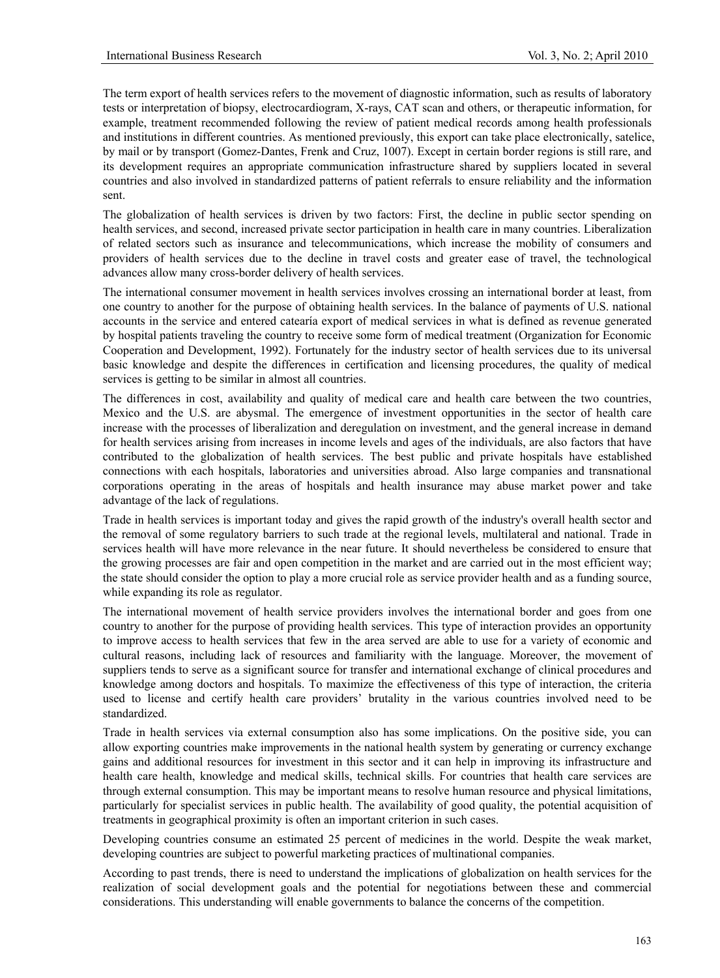The term export of health services refers to the movement of diagnostic information, such as results of laboratory tests or interpretation of biopsy, electrocardiogram, X-rays, CAT scan and others, or therapeutic information, for example, treatment recommended following the review of patient medical records among health professionals and institutions in different countries. As mentioned previously, this export can take place electronically, satelice, by mail or by transport (Gomez-Dantes, Frenk and Cruz, 1007). Except in certain border regions is still rare, and its development requires an appropriate communication infrastructure shared by suppliers located in several countries and also involved in standardized patterns of patient referrals to ensure reliability and the information sent.

The globalization of health services is driven by two factors: First, the decline in public sector spending on health services, and second, increased private sector participation in health care in many countries. Liberalization of related sectors such as insurance and telecommunications, which increase the mobility of consumers and providers of health services due to the decline in travel costs and greater ease of travel, the technological advances allow many cross-border delivery of health services.

The international consumer movement in health services involves crossing an international border at least, from one country to another for the purpose of obtaining health services. In the balance of payments of U.S. national accounts in the service and entered catearía export of medical services in what is defined as revenue generated by hospital patients traveling the country to receive some form of medical treatment (Organization for Economic Cooperation and Development, 1992). Fortunately for the industry sector of health services due to its universal basic knowledge and despite the differences in certification and licensing procedures, the quality of medical services is getting to be similar in almost all countries.

The differences in cost, availability and quality of medical care and health care between the two countries, Mexico and the U.S. are abysmal. The emergence of investment opportunities in the sector of health care increase with the processes of liberalization and deregulation on investment, and the general increase in demand for health services arising from increases in income levels and ages of the individuals, are also factors that have contributed to the globalization of health services. The best public and private hospitals have established connections with each hospitals, laboratories and universities abroad. Also large companies and transnational corporations operating in the areas of hospitals and health insurance may abuse market power and take advantage of the lack of regulations.

Trade in health services is important today and gives the rapid growth of the industry's overall health sector and the removal of some regulatory barriers to such trade at the regional levels, multilateral and national. Trade in services health will have more relevance in the near future. It should nevertheless be considered to ensure that the growing processes are fair and open competition in the market and are carried out in the most efficient way; the state should consider the option to play a more crucial role as service provider health and as a funding source, while expanding its role as regulator.

The international movement of health service providers involves the international border and goes from one country to another for the purpose of providing health services. This type of interaction provides an opportunity to improve access to health services that few in the area served are able to use for a variety of economic and cultural reasons, including lack of resources and familiarity with the language. Moreover, the movement of suppliers tends to serve as a significant source for transfer and international exchange of clinical procedures and knowledge among doctors and hospitals. To maximize the effectiveness of this type of interaction, the criteria used to license and certify health care providers' brutality in the various countries involved need to be standardized.

Trade in health services via external consumption also has some implications. On the positive side, you can allow exporting countries make improvements in the national health system by generating or currency exchange gains and additional resources for investment in this sector and it can help in improving its infrastructure and health care health, knowledge and medical skills, technical skills. For countries that health care services are through external consumption. This may be important means to resolve human resource and physical limitations, particularly for specialist services in public health. The availability of good quality, the potential acquisition of treatments in geographical proximity is often an important criterion in such cases.

Developing countries consume an estimated 25 percent of medicines in the world. Despite the weak market, developing countries are subject to powerful marketing practices of multinational companies.

According to past trends, there is need to understand the implications of globalization on health services for the realization of social development goals and the potential for negotiations between these and commercial considerations. This understanding will enable governments to balance the concerns of the competition.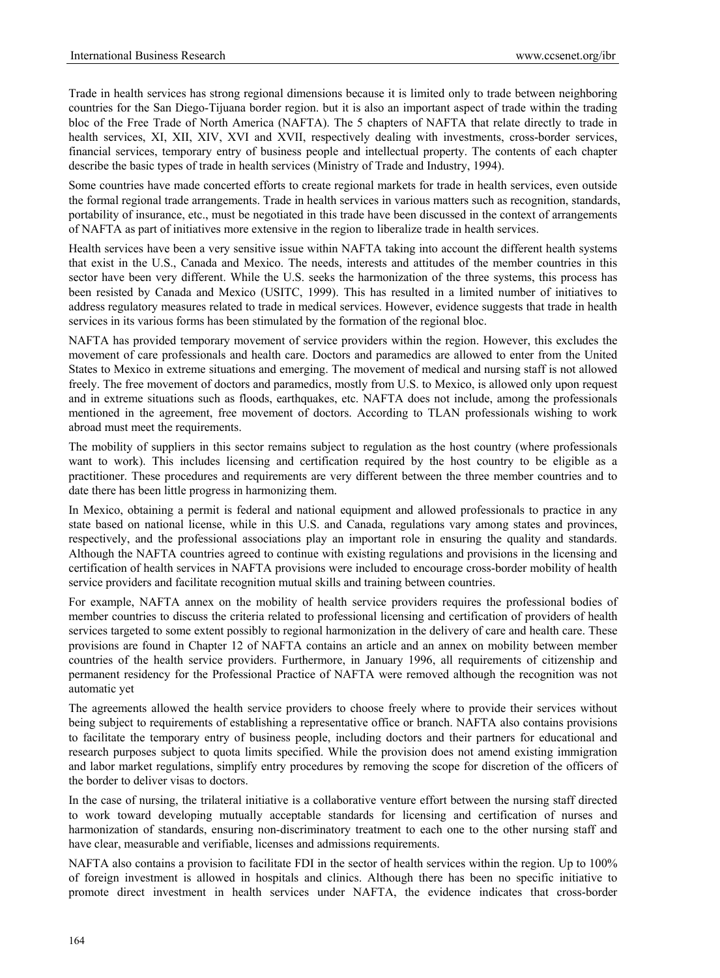Trade in health services has strong regional dimensions because it is limited only to trade between neighboring countries for the San Diego-Tijuana border region. but it is also an important aspect of trade within the trading bloc of the Free Trade of North America (NAFTA). The 5 chapters of NAFTA that relate directly to trade in health services, XI, XII, XIV, XVI and XVII, respectively dealing with investments, cross-border services, financial services, temporary entry of business people and intellectual property. The contents of each chapter describe the basic types of trade in health services (Ministry of Trade and Industry, 1994).

Some countries have made concerted efforts to create regional markets for trade in health services, even outside the formal regional trade arrangements. Trade in health services in various matters such as recognition, standards, portability of insurance, etc., must be negotiated in this trade have been discussed in the context of arrangements of NAFTA as part of initiatives more extensive in the region to liberalize trade in health services.

Health services have been a very sensitive issue within NAFTA taking into account the different health systems that exist in the U.S., Canada and Mexico. The needs, interests and attitudes of the member countries in this sector have been very different. While the U.S. seeks the harmonization of the three systems, this process has been resisted by Canada and Mexico (USITC, 1999). This has resulted in a limited number of initiatives to address regulatory measures related to trade in medical services. However, evidence suggests that trade in health services in its various forms has been stimulated by the formation of the regional bloc.

NAFTA has provided temporary movement of service providers within the region. However, this excludes the movement of care professionals and health care. Doctors and paramedics are allowed to enter from the United States to Mexico in extreme situations and emerging. The movement of medical and nursing staff is not allowed freely. The free movement of doctors and paramedics, mostly from U.S. to Mexico, is allowed only upon request and in extreme situations such as floods, earthquakes, etc. NAFTA does not include, among the professionals mentioned in the agreement, free movement of doctors. According to TLAN professionals wishing to work abroad must meet the requirements.

The mobility of suppliers in this sector remains subject to regulation as the host country (where professionals want to work). This includes licensing and certification required by the host country to be eligible as a practitioner. These procedures and requirements are very different between the three member countries and to date there has been little progress in harmonizing them.

In Mexico, obtaining a permit is federal and national equipment and allowed professionals to practice in any state based on national license, while in this U.S. and Canada, regulations vary among states and provinces, respectively, and the professional associations play an important role in ensuring the quality and standards. Although the NAFTA countries agreed to continue with existing regulations and provisions in the licensing and certification of health services in NAFTA provisions were included to encourage cross-border mobility of health service providers and facilitate recognition mutual skills and training between countries.

For example, NAFTA annex on the mobility of health service providers requires the professional bodies of member countries to discuss the criteria related to professional licensing and certification of providers of health services targeted to some extent possibly to regional harmonization in the delivery of care and health care. These provisions are found in Chapter 12 of NAFTA contains an article and an annex on mobility between member countries of the health service providers. Furthermore, in January 1996, all requirements of citizenship and permanent residency for the Professional Practice of NAFTA were removed although the recognition was not automatic yet

The agreements allowed the health service providers to choose freely where to provide their services without being subject to requirements of establishing a representative office or branch. NAFTA also contains provisions to facilitate the temporary entry of business people, including doctors and their partners for educational and research purposes subject to quota limits specified. While the provision does not amend existing immigration and labor market regulations, simplify entry procedures by removing the scope for discretion of the officers of the border to deliver visas to doctors.

In the case of nursing, the trilateral initiative is a collaborative venture effort between the nursing staff directed to work toward developing mutually acceptable standards for licensing and certification of nurses and harmonization of standards, ensuring non-discriminatory treatment to each one to the other nursing staff and have clear, measurable and verifiable, licenses and admissions requirements.

NAFTA also contains a provision to facilitate FDI in the sector of health services within the region. Up to 100% of foreign investment is allowed in hospitals and clinics. Although there has been no specific initiative to promote direct investment in health services under NAFTA, the evidence indicates that cross-border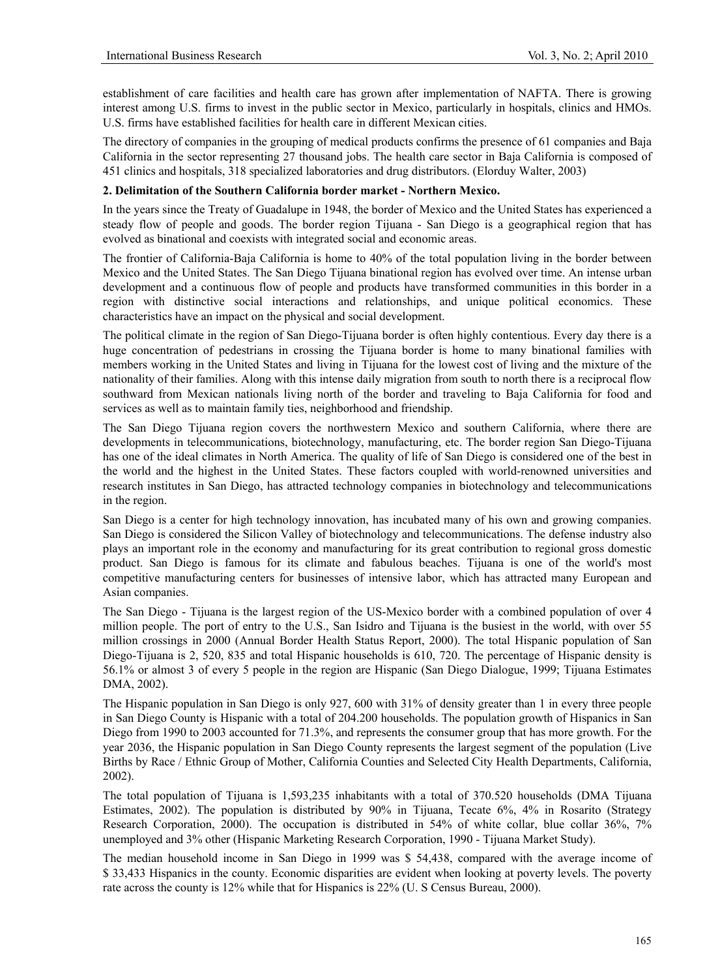establishment of care facilities and health care has grown after implementation of NAFTA. There is growing interest among U.S. firms to invest in the public sector in Mexico, particularly in hospitals, clinics and HMOs. U.S. firms have established facilities for health care in different Mexican cities.

The directory of companies in the grouping of medical products confirms the presence of 61 companies and Baja California in the sector representing 27 thousand jobs. The health care sector in Baja California is composed of 451 clinics and hospitals, 318 specialized laboratories and drug distributors. (Elorduy Walter, 2003)

## **2. Delimitation of the Southern California border market - Northern Mexico.**

In the years since the Treaty of Guadalupe in 1948, the border of Mexico and the United States has experienced a steady flow of people and goods. The border region Tijuana - San Diego is a geographical region that has evolved as binational and coexists with integrated social and economic areas.

The frontier of California-Baja California is home to 40% of the total population living in the border between Mexico and the United States. The San Diego Tijuana binational region has evolved over time. An intense urban development and a continuous flow of people and products have transformed communities in this border in a region with distinctive social interactions and relationships, and unique political economics. These characteristics have an impact on the physical and social development.

The political climate in the region of San Diego-Tijuana border is often highly contentious. Every day there is a huge concentration of pedestrians in crossing the Tijuana border is home to many binational families with members working in the United States and living in Tijuana for the lowest cost of living and the mixture of the nationality of their families. Along with this intense daily migration from south to north there is a reciprocal flow southward from Mexican nationals living north of the border and traveling to Baja California for food and services as well as to maintain family ties, neighborhood and friendship.

The San Diego Tijuana region covers the northwestern Mexico and southern California, where there are developments in telecommunications, biotechnology, manufacturing, etc. The border region San Diego-Tijuana has one of the ideal climates in North America. The quality of life of San Diego is considered one of the best in the world and the highest in the United States. These factors coupled with world-renowned universities and research institutes in San Diego, has attracted technology companies in biotechnology and telecommunications in the region.

San Diego is a center for high technology innovation, has incubated many of his own and growing companies. San Diego is considered the Silicon Valley of biotechnology and telecommunications. The defense industry also plays an important role in the economy and manufacturing for its great contribution to regional gross domestic product. San Diego is famous for its climate and fabulous beaches. Tijuana is one of the world's most competitive manufacturing centers for businesses of intensive labor, which has attracted many European and Asian companies.

The San Diego - Tijuana is the largest region of the US-Mexico border with a combined population of over 4 million people. The port of entry to the U.S., San Isidro and Tijuana is the busiest in the world, with over 55 million crossings in 2000 (Annual Border Health Status Report, 2000). The total Hispanic population of San Diego-Tijuana is 2, 520, 835 and total Hispanic households is 610, 720. The percentage of Hispanic density is 56.1% or almost 3 of every 5 people in the region are Hispanic (San Diego Dialogue, 1999; Tijuana Estimates DMA, 2002).

The Hispanic population in San Diego is only 927, 600 with 31% of density greater than 1 in every three people in San Diego County is Hispanic with a total of 204.200 households. The population growth of Hispanics in San Diego from 1990 to 2003 accounted for 71.3%, and represents the consumer group that has more growth. For the year 2036, the Hispanic population in San Diego County represents the largest segment of the population (Live Births by Race / Ethnic Group of Mother, California Counties and Selected City Health Departments, California, 2002).

The total population of Tijuana is 1,593,235 inhabitants with a total of 370.520 households (DMA Tijuana Estimates, 2002). The population is distributed by 90% in Tijuana, Tecate 6%, 4% in Rosarito (Strategy Research Corporation, 2000). The occupation is distributed in 54% of white collar, blue collar 36%, 7% unemployed and 3% other (Hispanic Marketing Research Corporation, 1990 - Tijuana Market Study).

The median household income in San Diego in 1999 was \$ 54,438, compared with the average income of \$ 33,433 Hispanics in the county. Economic disparities are evident when looking at poverty levels. The poverty rate across the county is 12% while that for Hispanics is 22% (U. S Census Bureau, 2000).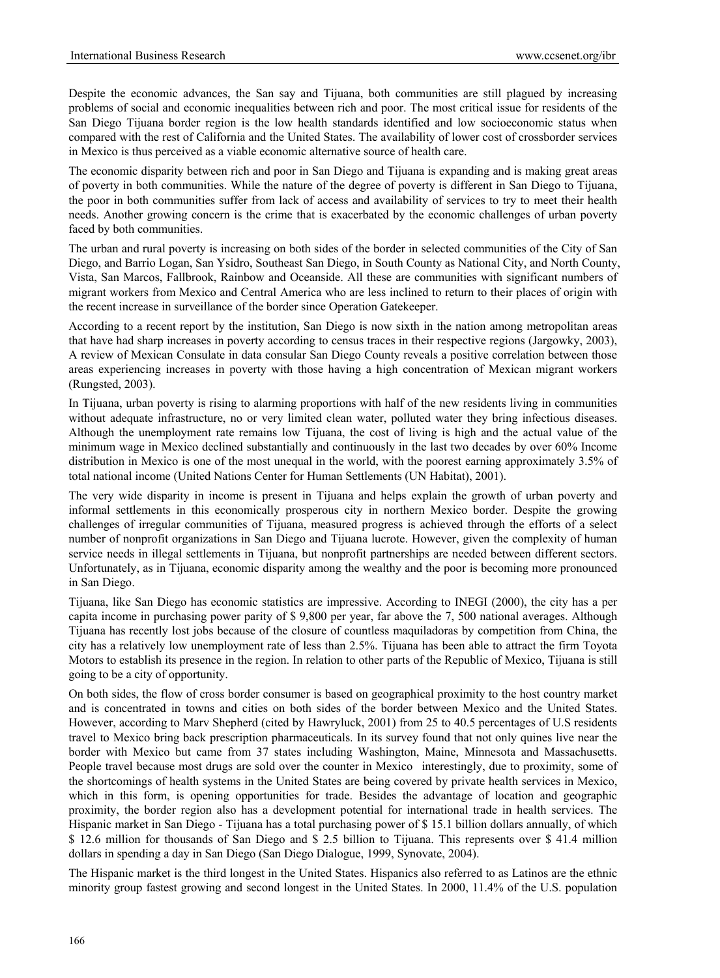Despite the economic advances, the San say and Tijuana, both communities are still plagued by increasing problems of social and economic inequalities between rich and poor. The most critical issue for residents of the San Diego Tijuana border region is the low health standards identified and low socioeconomic status when compared with the rest of California and the United States. The availability of lower cost of crossborder services in Mexico is thus perceived as a viable economic alternative source of health care.

The economic disparity between rich and poor in San Diego and Tijuana is expanding and is making great areas of poverty in both communities. While the nature of the degree of poverty is different in San Diego to Tijuana, the poor in both communities suffer from lack of access and availability of services to try to meet their health needs. Another growing concern is the crime that is exacerbated by the economic challenges of urban poverty faced by both communities.

The urban and rural poverty is increasing on both sides of the border in selected communities of the City of San Diego, and Barrio Logan, San Ysidro, Southeast San Diego, in South County as National City, and North County, Vista, San Marcos, Fallbrook, Rainbow and Oceanside. All these are communities with significant numbers of migrant workers from Mexico and Central America who are less inclined to return to their places of origin with the recent increase in surveillance of the border since Operation Gatekeeper.

According to a recent report by the institution, San Diego is now sixth in the nation among metropolitan areas that have had sharp increases in poverty according to census traces in their respective regions (Jargowky, 2003), A review of Mexican Consulate in data consular San Diego County reveals a positive correlation between those areas experiencing increases in poverty with those having a high concentration of Mexican migrant workers (Rungsted, 2003).

In Tijuana, urban poverty is rising to alarming proportions with half of the new residents living in communities without adequate infrastructure, no or very limited clean water, polluted water they bring infectious diseases. Although the unemployment rate remains low Tijuana, the cost of living is high and the actual value of the minimum wage in Mexico declined substantially and continuously in the last two decades by over 60% Income distribution in Mexico is one of the most unequal in the world, with the poorest earning approximately 3.5% of total national income (United Nations Center for Human Settlements (UN Habitat), 2001).

The very wide disparity in income is present in Tijuana and helps explain the growth of urban poverty and informal settlements in this economically prosperous city in northern Mexico border. Despite the growing challenges of irregular communities of Tijuana, measured progress is achieved through the efforts of a select number of nonprofit organizations in San Diego and Tijuana lucrote. However, given the complexity of human service needs in illegal settlements in Tijuana, but nonprofit partnerships are needed between different sectors. Unfortunately, as in Tijuana, economic disparity among the wealthy and the poor is becoming more pronounced in San Diego.

Tijuana, like San Diego has economic statistics are impressive. According to INEGI (2000), the city has a per capita income in purchasing power parity of \$ 9,800 per year, far above the 7, 500 national averages. Although Tijuana has recently lost jobs because of the closure of countless maquiladoras by competition from China, the city has a relatively low unemployment rate of less than 2.5%. Tijuana has been able to attract the firm Toyota Motors to establish its presence in the region. In relation to other parts of the Republic of Mexico, Tijuana is still going to be a city of opportunity.

On both sides, the flow of cross border consumer is based on geographical proximity to the host country market and is concentrated in towns and cities on both sides of the border between Mexico and the United States. However, according to Marv Shepherd (cited by Hawryluck, 2001) from 25 to 40.5 percentages of U.S residents travel to Mexico bring back prescription pharmaceuticals. In its survey found that not only quines live near the border with Mexico but came from 37 states including Washington, Maine, Minnesota and Massachusetts. People travel because most drugs are sold over the counter in Mexico interestingly, due to proximity, some of the shortcomings of health systems in the United States are being covered by private health services in Mexico, which in this form, is opening opportunities for trade. Besides the advantage of location and geographic proximity, the border region also has a development potential for international trade in health services. The Hispanic market in San Diego - Tijuana has a total purchasing power of \$ 15.1 billion dollars annually, of which \$ 12.6 million for thousands of San Diego and \$ 2.5 billion to Tijuana. This represents over \$ 41.4 million dollars in spending a day in San Diego (San Diego Dialogue, 1999, Synovate, 2004).

The Hispanic market is the third longest in the United States. Hispanics also referred to as Latinos are the ethnic minority group fastest growing and second longest in the United States. In 2000, 11.4% of the U.S. population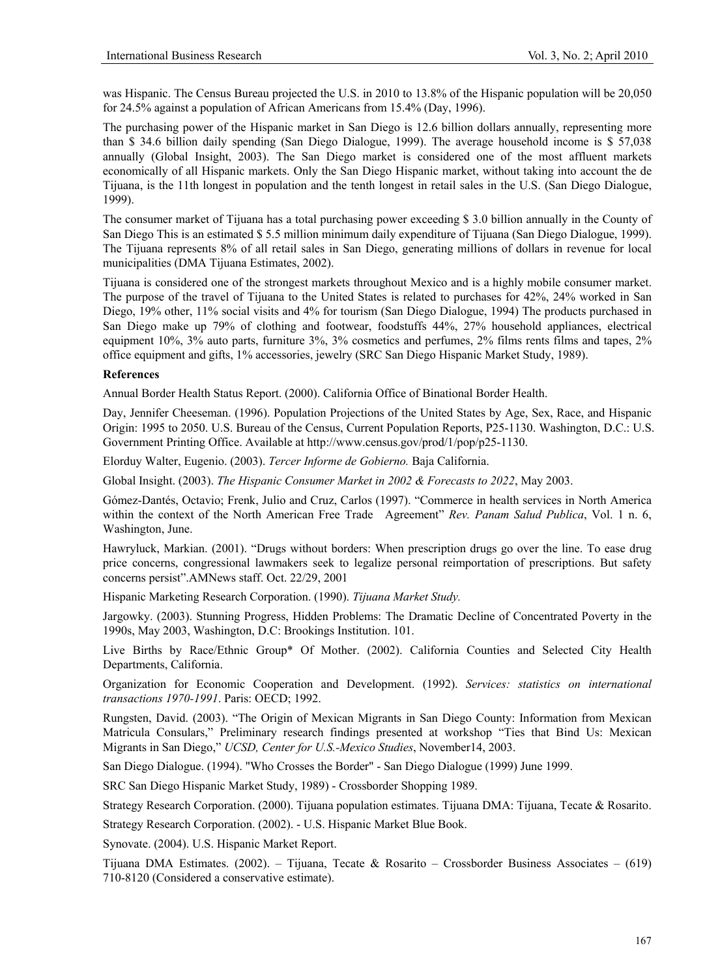was Hispanic. The Census Bureau projected the U.S. in 2010 to 13.8% of the Hispanic population will be 20,050 for 24.5% against a population of African Americans from 15.4% (Day, 1996).

The purchasing power of the Hispanic market in San Diego is 12.6 billion dollars annually, representing more than \$ 34.6 billion daily spending (San Diego Dialogue, 1999). The average household income is \$ 57,038 annually (Global Insight, 2003). The San Diego market is considered one of the most affluent markets economically of all Hispanic markets. Only the San Diego Hispanic market, without taking into account the de Tijuana, is the 11th longest in population and the tenth longest in retail sales in the U.S. (San Diego Dialogue, 1999).

The consumer market of Tijuana has a total purchasing power exceeding \$ 3.0 billion annually in the County of San Diego This is an estimated \$ 5.5 million minimum daily expenditure of Tijuana (San Diego Dialogue, 1999). The Tijuana represents 8% of all retail sales in San Diego, generating millions of dollars in revenue for local municipalities (DMA Tijuana Estimates, 2002).

Tijuana is considered one of the strongest markets throughout Mexico and is a highly mobile consumer market. The purpose of the travel of Tijuana to the United States is related to purchases for 42%, 24% worked in San Diego, 19% other, 11% social visits and 4% for tourism (San Diego Dialogue, 1994) The products purchased in San Diego make up 79% of clothing and footwear, foodstuffs 44%, 27% household appliances, electrical equipment 10%, 3% auto parts, furniture 3%, 3% cosmetics and perfumes, 2% films rents films and tapes, 2% office equipment and gifts, 1% accessories, jewelry (SRC San Diego Hispanic Market Study, 1989).

#### **References**

Annual Border Health Status Report. (2000). California Office of Binational Border Health.

Day, Jennifer Cheeseman. (1996). Population Projections of the United States by Age, Sex, Race, and Hispanic Origin: 1995 to 2050. U.S. Bureau of the Census, Current Population Reports, P25-1130. Washington, D.C.: U.S. Government Printing Office. Available at http://www.census.gov/prod/1/pop/p25-1130.

Elorduy Walter, Eugenio. (2003). *Tercer Informe de Gobierno.* Baja California.

Global Insight. (2003). *The Hispanic Consumer Market in 2002 & Forecasts to 2022*, May 2003.

Gómez-Dantés, Octavio; Frenk, Julio and Cruz, Carlos (1997). "Commerce in health services in North America within the context of the North American Free Trade Agreement" *Rev. Panam Salud Publica*, Vol. 1 n. 6, Washington, June.

Hawryluck, Markian. (2001). "Drugs without borders: When prescription drugs go over the line. To ease drug price concerns, congressional lawmakers seek to legalize personal reimportation of prescriptions. But safety concerns persist".AMNews staff. Oct. 22/29, 2001

Hispanic Marketing Research Corporation. (1990). *Tijuana Market Study.* 

Jargowky. (2003). Stunning Progress, Hidden Problems: The Dramatic Decline of Concentrated Poverty in the 1990s, May 2003, Washington, D.C: Brookings Institution. 101.

Live Births by Race/Ethnic Group\* Of Mother. (2002). California Counties and Selected City Health Departments, California.

Organization for Economic Cooperation and Development. (1992). *Services: statistics on international transactions 1970-1991*. Paris: OECD; 1992.

Rungsten, David. (2003). "The Origin of Mexican Migrants in San Diego County: Information from Mexican Matricula Consulars," Preliminary research findings presented at workshop "Ties that Bind Us: Mexican Migrants in San Diego," *UCSD, Center for U.S.-Mexico Studies*, November14, 2003.

San Diego Dialogue. (1994). "Who Crosses the Border" - San Diego Dialogue (1999) June 1999.

SRC San Diego Hispanic Market Study, 1989) - Crossborder Shopping 1989.

Strategy Research Corporation. (2000). Tijuana population estimates. Tijuana DMA: Tijuana, Tecate & Rosarito.

Strategy Research Corporation. (2002). - U.S. Hispanic Market Blue Book.

Synovate. (2004). U.S. Hispanic Market Report.

Tijuana DMA Estimates. (2002). – Tijuana, Tecate & Rosarito – Crossborder Business Associates – (619) 710-8120 (Considered a conservative estimate).